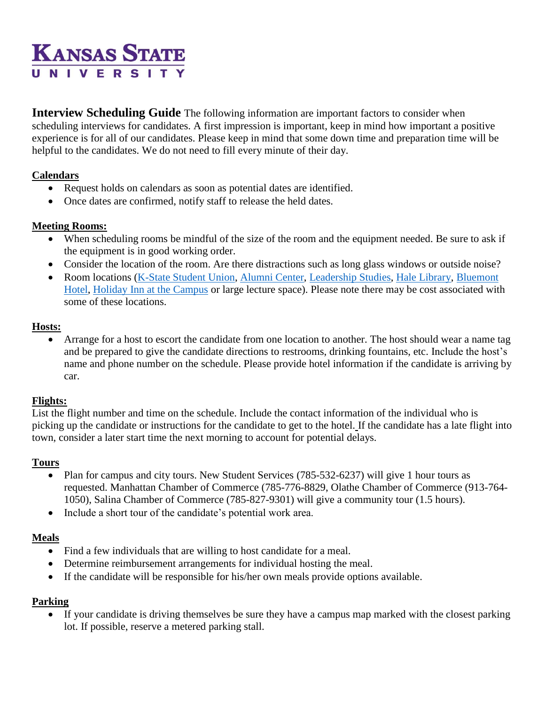# **KANSAS STATE** UNIVERSIT

**Interview Scheduling Guide** The following information are important factors to consider when scheduling interviews for candidates. A first impression is important, keep in mind how important a positive experience is for all of our candidates. Please keep in mind that some down time and preparation time will be helpful to the candidates. We do not need to fill every minute of their day.

# **Calendars**

- Request holds on calendars as soon as potential dates are identified.
- Once dates are confirmed, notify staff to release the held dates.

# **Meeting Rooms:**

- When scheduling rooms be mindful of the size of the room and the equipment needed. Be sure to ask if the equipment is in good working order.
- Consider the location of the room. Are there distractions such as long glass windows or outside noise?
- Room locations [\(K-State Student Union,](http://www.union.ksu.edu/meet/) [Alumni Center,](http://www.k-state.com/s/1173/social.aspx?sid=1173&gid=1&pgid=4962) [Leadership Studies,](http://www.k-state.edu/leadership/building/Reserving.html) [Hale Library,](http://www.lib.k-state.edu/departments) [Bluemont](http://www.bluemonthotel.com/)  [Hotel,](http://www.bluemonthotel.com/) [Holiday Inn at the Campus](http://www.ihg.com/holidayinn/hotels/us/en/manhattan/manhi/hoteldetail/directions) or large lecture space). Please note there may be cost associated with some of these locations.

# **Hosts:**

 Arrange for a host to escort the candidate from one location to another. The host should wear a name tag and be prepared to give the candidate directions to restrooms, drinking fountains, etc. Include the host's name and phone number on the schedule. Please provide hotel information if the candidate is arriving by car.

## **Flights:**

List the flight number and time on the schedule. Include the contact information of the individual who is picking up the candidate or instructions for the candidate to get to the hotel. If the candidate has a late flight into town, consider a later start time the next morning to account for potential delays.

## **Tours**

- Plan for campus and city tours. New Student Services (785-532-6237) will give 1 hour tours as requested. Manhattan Chamber of Commerce (785-776-8829, Olathe Chamber of Commerce (913-764- 1050), Salina Chamber of Commerce (785-827-9301) will give a community tour (1.5 hours).
- Include a short tour of the candidate's potential work area.

# **Meals**

- Find a few individuals that are willing to host candidate for a meal.
- Determine reimbursement arrangements for individual hosting the meal.
- If the candidate will be responsible for his/her own meals provide options available.

## **Parking**

 If your candidate is driving themselves be sure they have a campus map marked with the closest parking lot. If possible, reserve a metered parking stall.